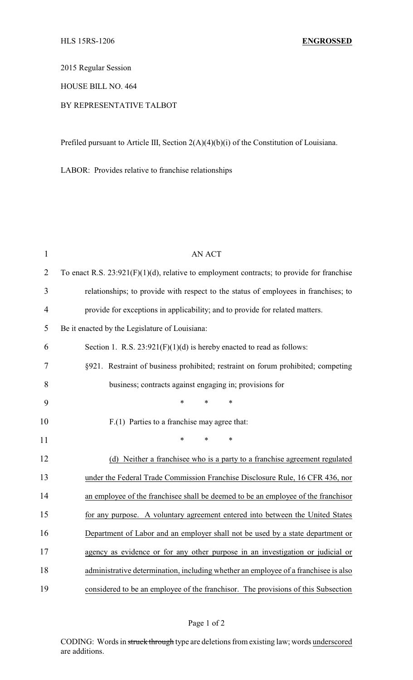2015 Regular Session

HOUSE BILL NO. 464

## BY REPRESENTATIVE TALBOT

Prefiled pursuant to Article III, Section 2(A)(4)(b)(i) of the Constitution of Louisiana.

LABOR: Provides relative to franchise relationships

| $\mathbf{1}$   | <b>AN ACT</b>                                                                                |  |  |
|----------------|----------------------------------------------------------------------------------------------|--|--|
| $\overline{2}$ | To enact R.S. $23:921(F)(1)(d)$ , relative to employment contracts; to provide for franchise |  |  |
| 3              | relationships; to provide with respect to the status of employees in franchises; to          |  |  |
| $\overline{4}$ | provide for exceptions in applicability; and to provide for related matters.                 |  |  |
| 5              | Be it enacted by the Legislature of Louisiana:                                               |  |  |
| 6              | Section 1. R.S. $23:921(F)(1)(d)$ is hereby enacted to read as follows:                      |  |  |
| 7              | §921. Restraint of business prohibited; restraint on forum prohibited; competing             |  |  |
| 8              | business; contracts against engaging in; provisions for                                      |  |  |
| 9              | $\ast$<br>*<br>*                                                                             |  |  |
| 10             | F.(1) Parties to a franchise may agree that:                                                 |  |  |
| 11             | $\ast$<br>$\ast$<br>*                                                                        |  |  |
| 12             | (d) Neither a franchisee who is a party to a franchise agreement regulated                   |  |  |
| 13             | under the Federal Trade Commission Franchise Disclosure Rule, 16 CFR 436, nor                |  |  |
| 14             | an employee of the franchisee shall be deemed to be an employee of the franchisor            |  |  |
| 15             | for any purpose. A voluntary agreement entered into between the United States                |  |  |
| 16             | Department of Labor and an employer shall not be used by a state department or               |  |  |
| 17             | agency as evidence or for any other purpose in an investigation or judicial or               |  |  |
| 18             | administrative determination, including whether an employee of a franchisee is also          |  |  |
| 19             | considered to be an employee of the franchisor. The provisions of this Subsection            |  |  |

CODING: Words in struck through type are deletions from existing law; words underscored are additions.